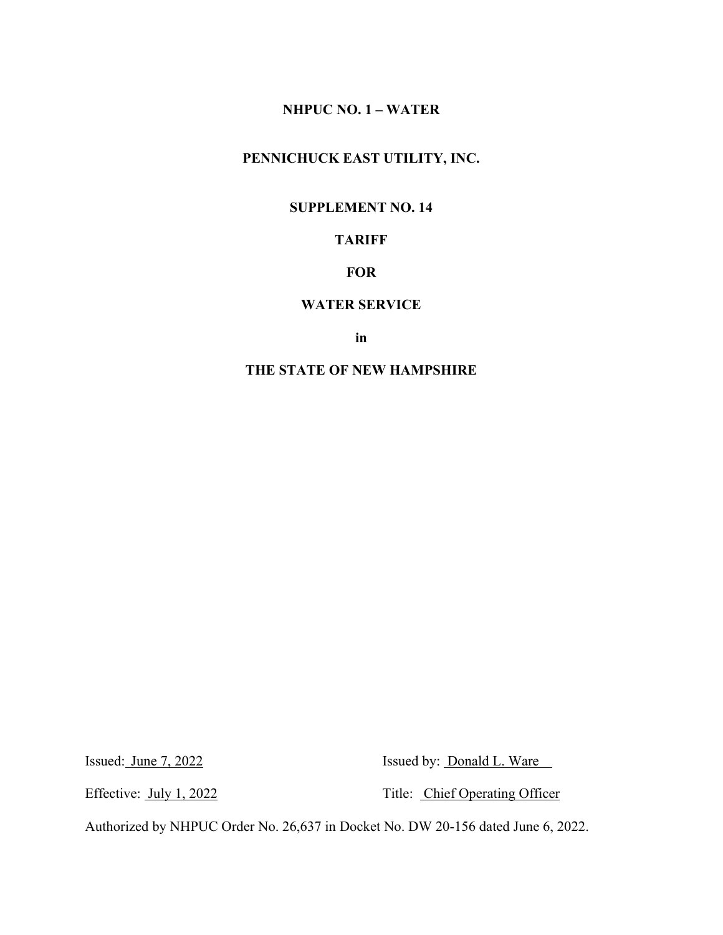# **PENNICHUCK EAST UTILITY, INC.**

### **SUPPLEMENT NO. 14**

# **TARIFF**

## **FOR**

#### **WATER SERVICE**

**in**

### **THE STATE OF NEW HAMPSHIRE**

Issued: June 7, 2022 Issued by: Donald L. Ware

Effective: <u>July 1, 2022</u> Title: Chief Operating Officer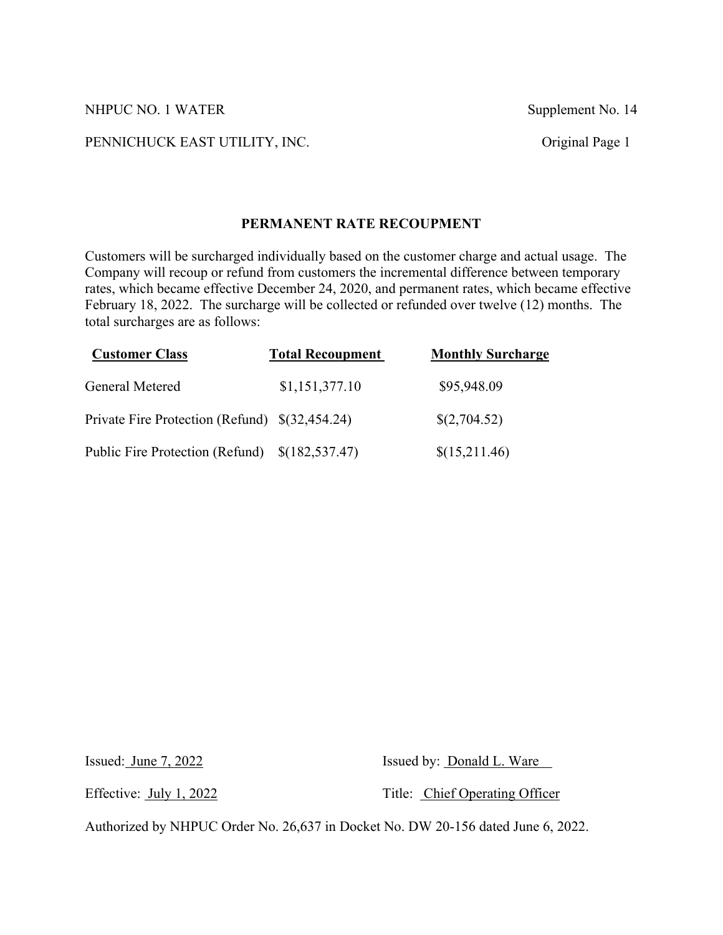#### PENNICHUCK EAST UTILITY, INC. Original Page 1

### **PERMANENT RATE RECOUPMENT**

Customers will be surcharged individually based on the customer charge and actual usage. The Company will recoup or refund from customers the incremental difference between temporary rates, which became effective December 24, 2020, and permanent rates, which became effective February 18, 2022. The surcharge will be collected or refunded over twelve (12) months. The total surcharges are as follows:

| <b>Customer Class</b>                          | <b>Total Recoupment</b> | <b>Monthly Surcharge</b> |
|------------------------------------------------|-------------------------|--------------------------|
| General Metered                                | \$1,151,377.10          | \$95,948.09              |
| Private Fire Protection (Refund) \$(32,454.24) |                         | \$(2,704.52)             |
| Public Fire Protection (Refund)                | \$(182,537.47)          | \$(15,211.46)            |

Issued: June 7, 2022 Issued by: Donald L. Ware

Effective: July 1, 2022 Title: Chief Operating Officer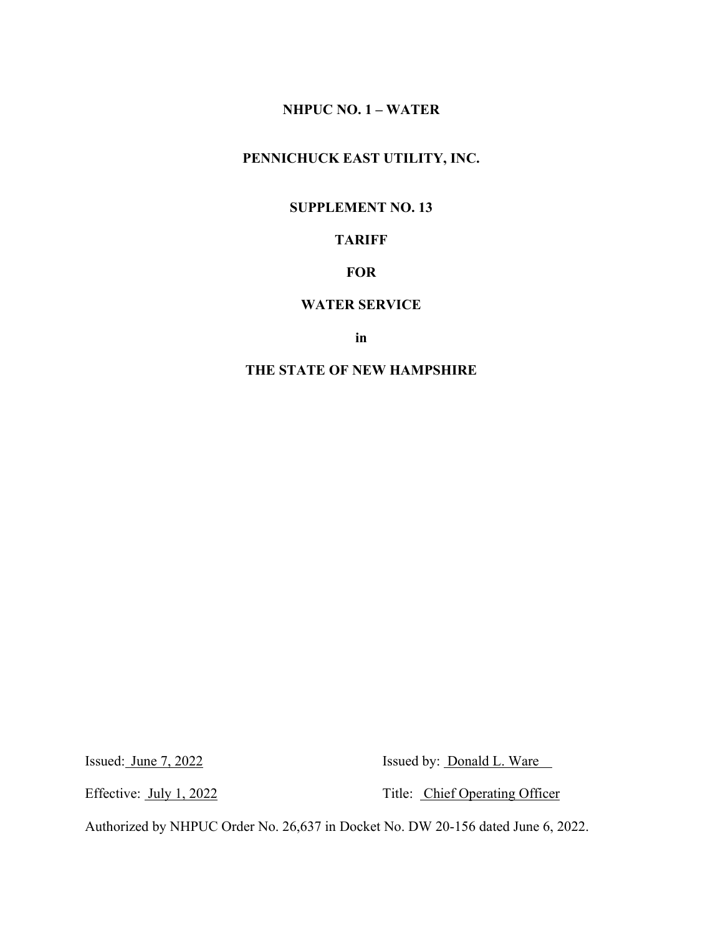# **PENNICHUCK EAST UTILITY, INC.**

### **SUPPLEMENT NO. 13**

# **TARIFF**

## **FOR**

#### **WATER SERVICE**

**in**

### **THE STATE OF NEW HAMPSHIRE**

Issued: June 7, 2022 Issued by: Donald L. Ware

Effective: <u>July 1, 2022</u> Title: Chief Operating Officer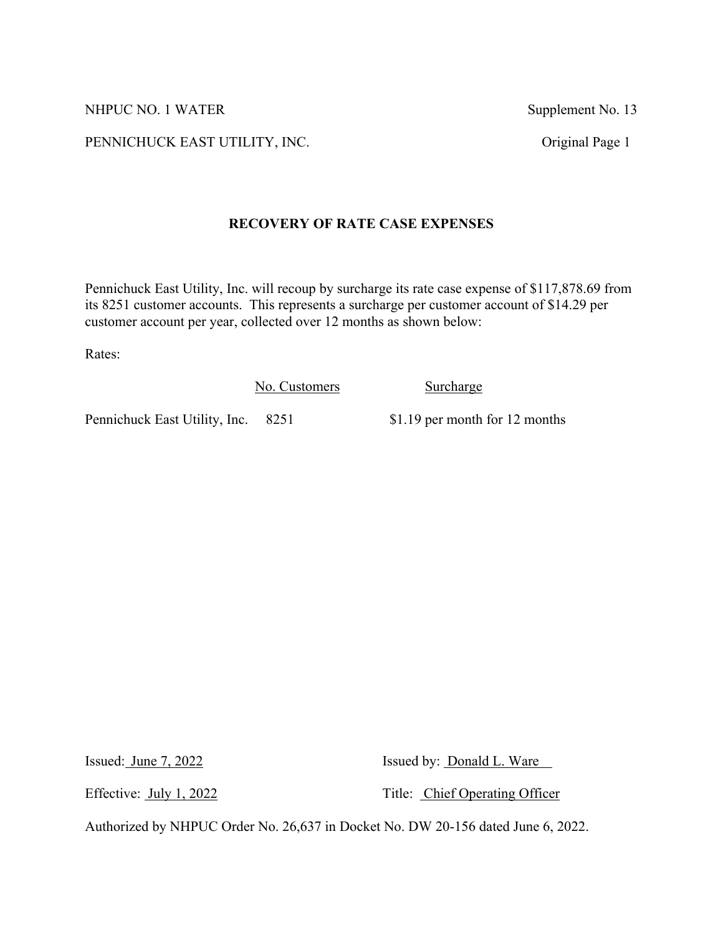PENNICHUCK EAST UTILITY, INC. Original Page 1

## **RECOVERY OF RATE CASE EXPENSES**

Pennichuck East Utility, Inc. will recoup by surcharge its rate case expense of \$117,878.69 from its 8251 customer accounts. This represents a surcharge per customer account of \$14.29 per customer account per year, collected over 12 months as shown below:

Rates:

No. Customers Surcharge

Pennichuck East Utility, Inc. 8251 \$1.19 per month for 12 months

Issued: June 7, 2022 Issued by: Donald L. Ware

Effective: July 1, 2022 Title: Chief Operating Officer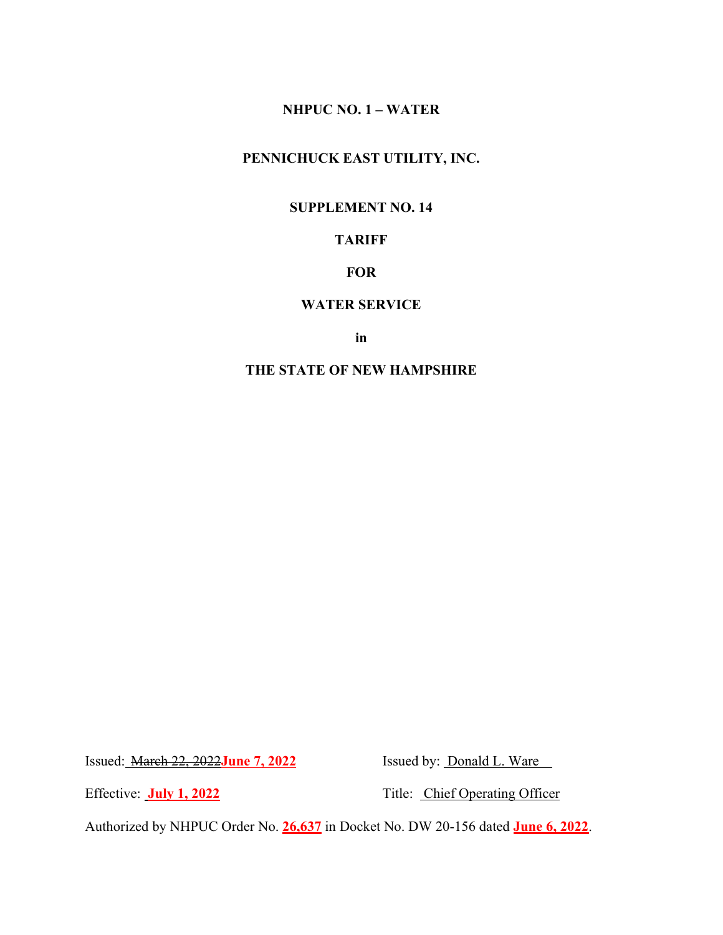# **PENNICHUCK EAST UTILITY, INC.**

### **SUPPLEMENT NO. 14**

# **TARIFF**

## **FOR**

### **WATER SERVICE**

**in**

## **THE STATE OF NEW HAMPSHIRE**

Issued: **March 22, 2022June 7, 2022** Issued by: **Donald L. Ware** 

Effective: **July 1, 2022** Title: Chief Operating Officer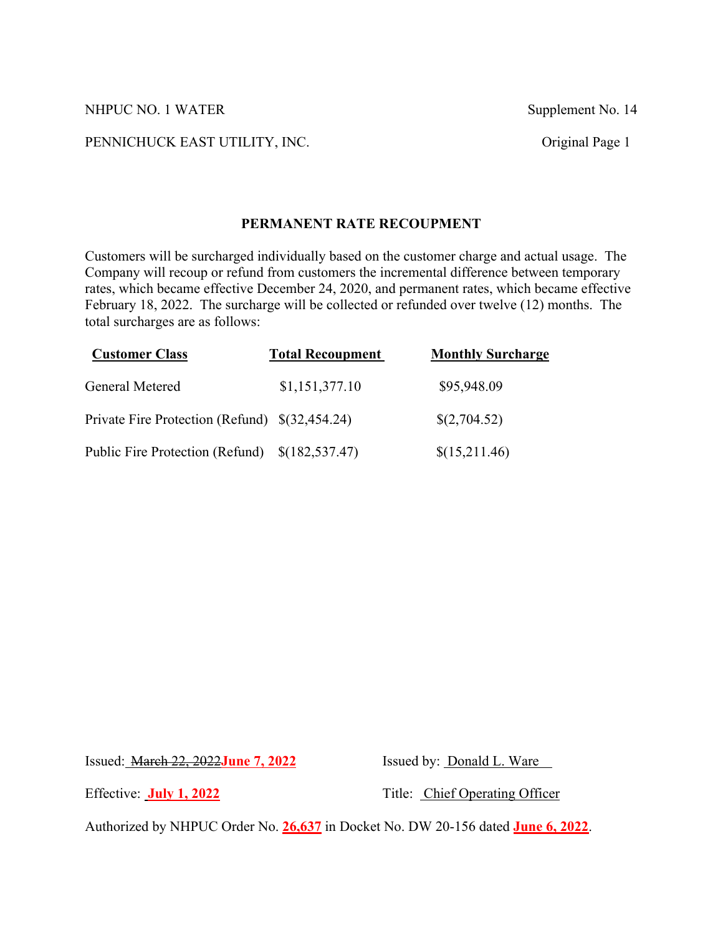#### PENNICHUCK EAST UTILITY, INC. Original Page 1

### **PERMANENT RATE RECOUPMENT**

Customers will be surcharged individually based on the customer charge and actual usage. The Company will recoup or refund from customers the incremental difference between temporary rates, which became effective December 24, 2020, and permanent rates, which became effective February 18, 2022. The surcharge will be collected or refunded over twelve (12) months. The total surcharges are as follows:

| <b>Customer Class</b>                          | <b>Total Recoupment</b> | <b>Monthly Surcharge</b> |
|------------------------------------------------|-------------------------|--------------------------|
| General Metered                                | \$1,151,377.10          | \$95,948.09              |
| Private Fire Protection (Refund) \$(32,454.24) |                         | \$(2,704.52)             |
| Public Fire Protection (Refund)                | \$(182,537.47)          | \$(15,211.46)            |

Issued: March 22, 2022**June 7, 2022** Issued by: Donald L. Ware

Effective: **July 1, 2022** Title: Chief Operating Officer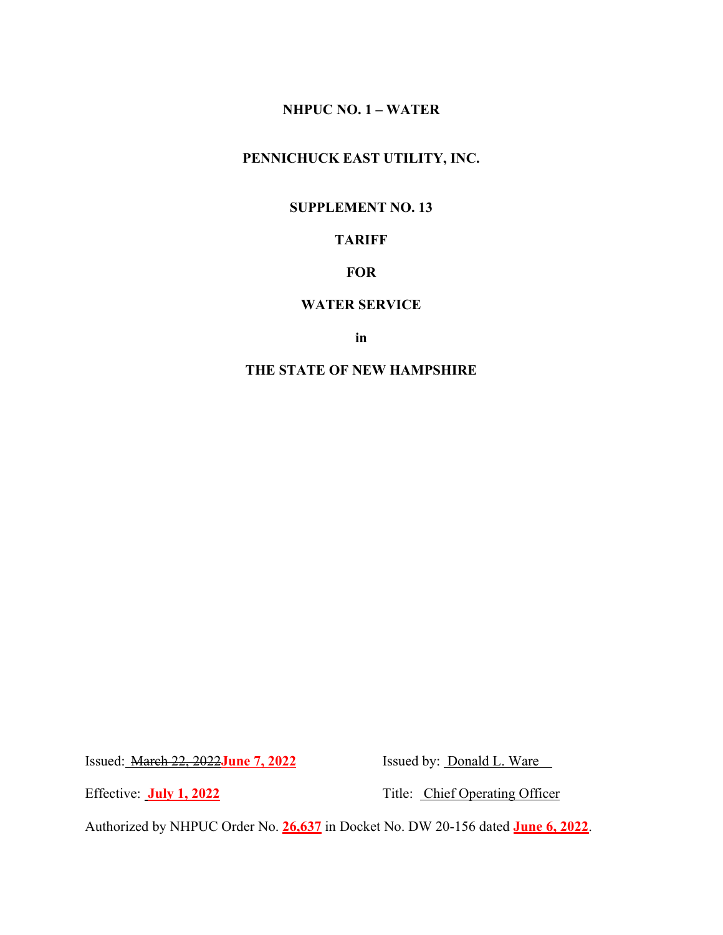# **PENNICHUCK EAST UTILITY, INC.**

### **SUPPLEMENT NO. 13**

# **TARIFF**

## **FOR**

### **WATER SERVICE**

**in**

## **THE STATE OF NEW HAMPSHIRE**

Issued: **March 22, 2022June 7, 2022** Issued by: **Donald L. Ware** 

Effective: **July 1, 2022** Title: Chief Operating Officer